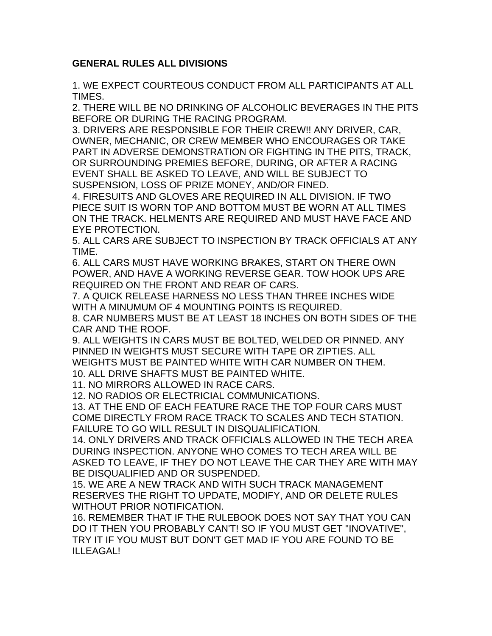## **GENERAL RULES ALL DIVISIONS**

1. WE EXPECT COURTEOUS CONDUCT FROM ALL PARTICIPANTS AT ALL TIMES.

2. THERE WILL BE NO DRINKING OF ALCOHOLIC BEVERAGES IN THE PITS BEFORE OR DURING THE RACING PROGRAM.

3. DRIVERS ARE RESPONSIBLE FOR THEIR CREW!! ANY DRIVER, CAR, OWNER, MECHANIC, OR CREW MEMBER WHO ENCOURAGES OR TAKE PART IN ADVERSE DEMONSTRATION OR FIGHTING IN THE PITS, TRACK, OR SURROUNDING PREMIES BEFORE, DURING, OR AFTER A RACING EVENT SHALL BE ASKED TO LEAVE, AND WILL BE SUBJECT TO SUSPENSION, LOSS OF PRIZE MONEY, AND/OR FINED.

4. FIRESUITS AND GLOVES ARE REQUIRED IN ALL DIVISION. IF TWO PIECE SUIT IS WORN TOP AND BOTTOM MUST BE WORN AT ALL TIMES ON THE TRACK. HELMENTS ARE REQUIRED AND MUST HAVE FACE AND EYE PROTECTION.

5. ALL CARS ARE SUBJECT TO INSPECTION BY TRACK OFFICIALS AT ANY TIME.

6. ALL CARS MUST HAVE WORKING BRAKES, START ON THERE OWN POWER, AND HAVE A WORKING REVERSE GEAR. TOW HOOK UPS ARE REQUIRED ON THE FRONT AND REAR OF CARS.

7. A QUICK RELEASE HARNESS NO LESS THAN THREE INCHES WIDE WITH A MINUMUM OF 4 MOUNTING POINTS IS REQUIRED.

8. CAR NUMBERS MUST BE AT LEAST 18 INCHES ON BOTH SIDES OF THE CAR AND THE ROOF.

9. ALL WEIGHTS IN CARS MUST BE BOLTED, WELDED OR PINNED. ANY PINNED IN WEIGHTS MUST SECURE WITH TAPE OR ZIPTIES. ALL WEIGHTS MUST BE PAINTED WHITE WITH CAR NUMBER ON THEM.

10. ALL DRIVE SHAFTS MUST BE PAINTED WHITE.

11. NO MIRRORS ALLOWED IN RACE CARS.

12. NO RADIOS OR ELECTRICIAL COMMUNICATIONS.

13. AT THE END OF EACH FEATURE RACE THE TOP FOUR CARS MUST COME DIRECTLY FROM RACE TRACK TO SCALES AND TECH STATION. FAILURE TO GO WILL RESULT IN DISQUALIFICATION.

14. ONLY DRIVERS AND TRACK OFFICIALS ALLOWED IN THE TECH AREA DURING INSPECTION. ANYONE WHO COMES TO TECH AREA WILL BE ASKED TO LEAVE, IF THEY DO NOT LEAVE THE CAR THEY ARE WITH MAY BE DISQUALIFIED AND OR SUSPENDED.

15. WE ARE A NEW TRACK AND WITH SUCH TRACK MANAGEMENT RESERVES THE RIGHT TO UPDATE, MODIFY, AND OR DELETE RULES WITHOUT PRIOR NOTIFICATION.

16. REMEMBER THAT IF THE RULEBOOK DOES NOT SAY THAT YOU CAN DO IT THEN YOU PROBABLY CAN'T! SO IF YOU MUST GET "INOVATIVE", TRY IT IF YOU MUST BUT DON'T GET MAD IF YOU ARE FOUND TO BE ILLEAGAL!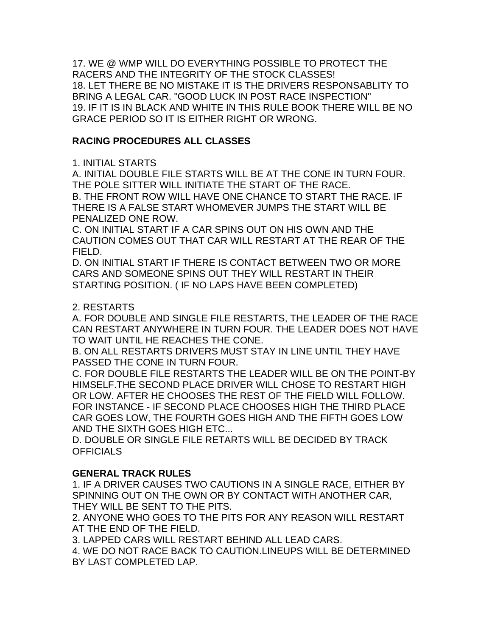17. WE @ WMP WILL DO EVERYTHING POSSIBLE TO PROTECT THE RACERS AND THE INTEGRITY OF THE STOCK CLASSES! 18. LET THERE BE NO MISTAKE IT IS THE DRIVERS RESPONSABLITY TO BRING A LEGAL CAR. "GOOD LUCK IN POST RACE INSPECTION" 19. IF IT IS IN BLACK AND WHITE IN THIS RULE BOOK THERE WILL BE NO GRACE PERIOD SO IT IS EITHER RIGHT OR WRONG.

# **RACING PROCEDURES ALL CLASSES**

# 1. INITIAL STARTS

A. INITIAL DOUBLE FILE STARTS WILL BE AT THE CONE IN TURN FOUR. THE POLE SITTER WILL INITIATE THE START OF THE RACE.

B. THE FRONT ROW WILL HAVE ONE CHANCE TO START THE RACE. IF THERE IS A FALSE START WHOMEVER JUMPS THE START WILL BE PENALIZED ONE ROW.

C. ON INITIAL START IF A CAR SPINS OUT ON HIS OWN AND THE CAUTION COMES OUT THAT CAR WILL RESTART AT THE REAR OF THE FIELD.

D. ON INITIAL START IF THERE IS CONTACT BETWEEN TWO OR MORE CARS AND SOMEONE SPINS OUT THEY WILL RESTART IN THEIR STARTING POSITION. ( IF NO LAPS HAVE BEEN COMPLETED)

## 2. RESTARTS

A. FOR DOUBLE AND SINGLE FILE RESTARTS, THE LEADER OF THE RACE CAN RESTART ANYWHERE IN TURN FOUR. THE LEADER DOES NOT HAVE TO WAIT UNTIL HE REACHES THE CONE.

B. ON ALL RESTARTS DRIVERS MUST STAY IN LINE UNTIL THEY HAVE PASSED THE CONE IN TURN FOUR.

C. FOR DOUBLE FILE RESTARTS THE LEADER WILL BE ON THE POINT-BY HIMSELF.THE SECOND PLACE DRIVER WILL CHOSE TO RESTART HIGH OR LOW. AFTER HE CHOOSES THE REST OF THE FIELD WILL FOLLOW. FOR INSTANCE - IF SECOND PLACE CHOOSES HIGH THE THIRD PLACE CAR GOES LOW, THE FOURTH GOES HIGH AND THE FIFTH GOES LOW AND THE SIXTH GOES HIGH ETC...

D. DOUBLE OR SINGLE FILE RETARTS WILL BE DECIDED BY TRACK **OFFICIALS** 

## **GENERAL TRACK RULES**

1. IF A DRIVER CAUSES TWO CAUTIONS IN A SINGLE RACE, EITHER BY SPINNING OUT ON THE OWN OR BY CONTACT WITH ANOTHER CAR, THEY WILL BE SENT TO THE PITS.

2. ANYONE WHO GOES TO THE PITS FOR ANY REASON WILL RESTART AT THE END OF THE FIELD.

3. LAPPED CARS WILL RESTART BEHIND ALL LEAD CARS.

4. WE DO NOT RACE BACK TO CAUTION.LINEUPS WILL BE DETERMINED BY LAST COMPLETED LAP.